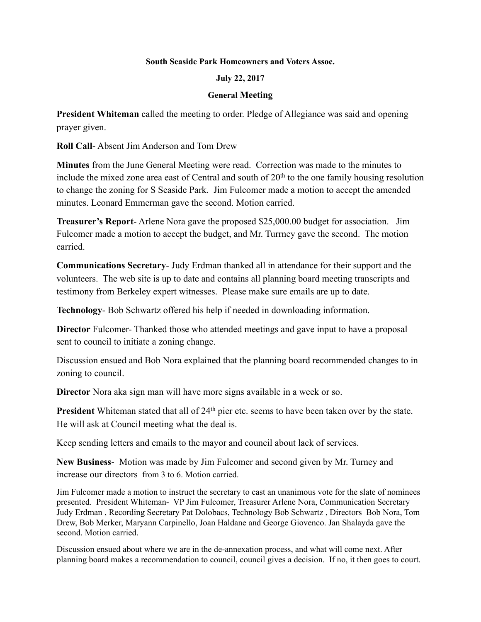## **South Seaside Park Homeowners and Voters Assoc.**

## **July 22, 2017**

## **General Meeting**

**President Whiteman** called the meeting to order. Pledge of Allegiance was said and opening prayer given.

**Roll Call**- Absent Jim Anderson and Tom Drew

**Minutes** from the June General Meeting were read. Correction was made to the minutes to include the mixed zone area east of Central and south of  $20<sup>th</sup>$  to the one family housing resolution to change the zoning for S Seaside Park. Jim Fulcomer made a motion to accept the amended minutes. Leonard Emmerman gave the second. Motion carried.

**Treasurer's Report**- Arlene Nora gave the proposed \$25,000.00 budget for association. Jim Fulcomer made a motion to accept the budget, and Mr. Turrney gave the second. The motion carried.

**Communications Secretary**- Judy Erdman thanked all in attendance for their support and the volunteers. The web site is up to date and contains all planning board meeting transcripts and testimony from Berkeley expert witnesses. Please make sure emails are up to date.

**Technology**- Bob Schwartz offered his help if needed in downloading information.

**Director** Fulcomer- Thanked those who attended meetings and gave input to have a proposal sent to council to initiate a zoning change.

Discussion ensued and Bob Nora explained that the planning board recommended changes to in zoning to council.

**Director** Nora aka sign man will have more signs available in a week or so.

**President** Whiteman stated that all of 24<sup>th</sup> pier etc. seems to have been taken over by the state. He will ask at Council meeting what the deal is.

Keep sending letters and emails to the mayor and council about lack of services.

**New Business**- Motion was made by Jim Fulcomer and second given by Mr. Turney and increase our directors from 3 to 6. Motion carried.

Jim Fulcomer made a motion to instruct the secretary to cast an unanimous vote for the slate of nominees presented. President Whiteman- VP Jim Fulcomer, Treasurer Arlene Nora, Communication Secretary Judy Erdman , Recording Secretary Pat Dolobacs, Technology Bob Schwartz , Directors Bob Nora, Tom Drew, Bob Merker, Maryann Carpinello, Joan Haldane and George Giovenco. Jan Shalayda gave the second. Motion carried.

Discussion ensued about where we are in the de-annexation process, and what will come next. After planning board makes a recommendation to council, council gives a decision. If no, it then goes to court.